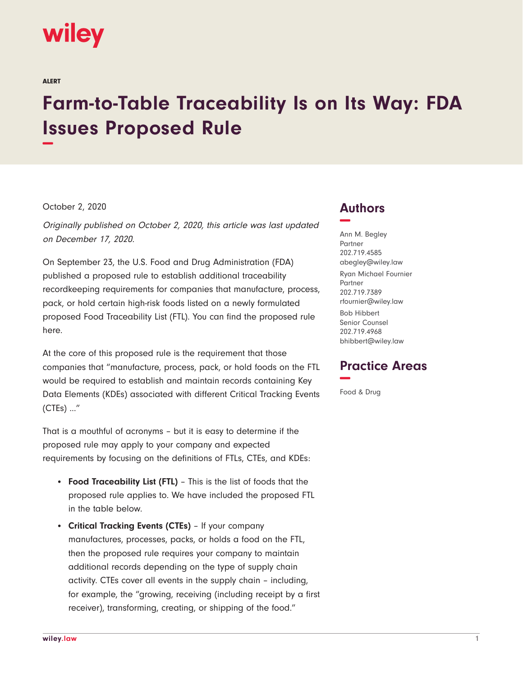# **wiley**

ALERT

# **Farm-to-Table Traceability Is on Its Way: FDA Issues Proposed Rule −**

#### October 2, 2020

Originally published on October 2, 2020, this article was last updated on December 17, 2020.

On September 23, the U.S. Food and Drug Administration (FDA) published a proposed rule to establish additional traceability recordkeeping requirements for companies that manufacture, process, pack, or hold certain high-risk foods listed on a newly formulated proposed Food Traceability List (FTL). You can find the proposed rule here.

At the core of this proposed rule is the requirement that those companies that "manufacture, process, pack, or hold foods on the FTL would be required to establish and maintain records containing Key Data Elements (KDEs) associated with different Critical Tracking Events (CTEs) …"

That is a mouthful of acronyms – but it is easy to determine if the proposed rule may apply to your company and expected requirements by focusing on the definitions of FTLs, CTEs, and KDEs:

- **Food Traceability List (FTL)** This is the list of foods that the proposed rule applies to. We have included the proposed FTL in the table below.
- **Critical Tracking Events (CTEs)**  If your company manufactures, processes, packs, or holds a food on the FTL, then the proposed rule requires your company to maintain additional records depending on the type of supply chain activity. CTEs cover all events in the supply chain – including, for example, the "growing, receiving (including receipt by a first receiver), transforming, creating, or shipping of the food."

### **Authors −**

Ann M. Begley Partner 202.719.4585 abegley@wiley.law Ryan Michael Fournier Partner 202.719.7389 rfournier@wiley.law Bob Hibbert Senior Counsel 202.719.4968 bhibbert@wiley.law

## **Practice Areas −**

Food & Drug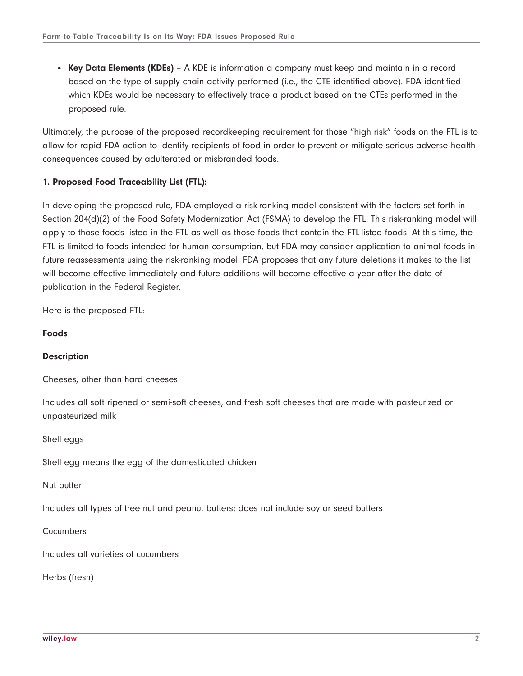● **Key Data Elements (KDEs)** – A KDE is information a company must keep and maintain in a record based on the type of supply chain activity performed (i.e., the CTE identified above). FDA identified which KDEs would be necessary to effectively trace a product based on the CTEs performed in the proposed rule.

Ultimately, the purpose of the proposed recordkeeping requirement for those "high risk" foods on the FTL is to allow for rapid FDA action to identify recipients of food in order to prevent or mitigate serious adverse health consequences caused by adulterated or misbranded foods.

#### **1. Proposed Food Traceability List (FTL):**

In developing the proposed rule, FDA employed a risk-ranking model consistent with the factors set forth in Section 204(d)(2) of the Food Safety Modernization Act (FSMA) to develop the FTL. This risk-ranking model will apply to those foods listed in the FTL as well as those foods that contain the FTL-listed foods. At this time, the FTL is limited to foods intended for human consumption, but FDA may consider application to animal foods in future reassessments using the risk-ranking model. FDA proposes that any future deletions it makes to the list will become effective immediately and future additions will become effective a year after the date of publication in the Federal Register.

Here is the proposed FTL:

#### **Foods**

#### **Description**

Cheeses, other than hard cheeses

Includes all soft ripened or semi-soft cheeses, and fresh soft cheeses that are made with pasteurized or unpasteurized milk

Shell eggs

Shell egg means the egg of the domesticated chicken

Nut butter

Includes all types of tree nut and peanut butters; does not include soy or seed butters

Cucumbers

Includes all varieties of cucumbers

Herbs (fresh)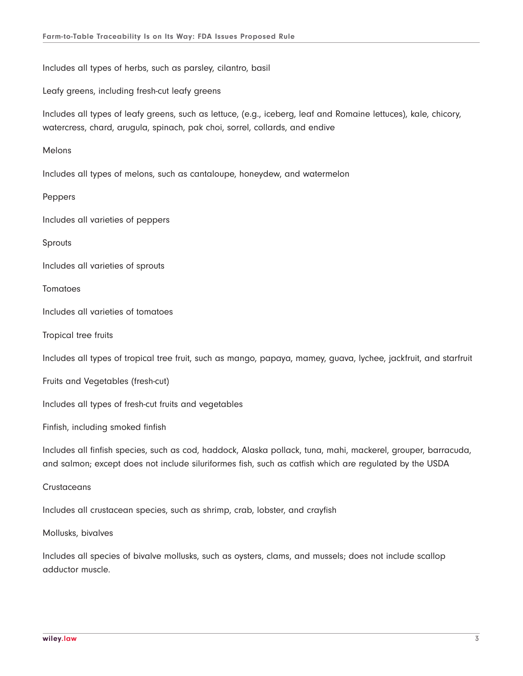Includes all types of herbs, such as parsley, cilantro, basil

Leafy greens, including fresh-cut leafy greens

Includes all types of leafy greens, such as lettuce, (e.g., iceberg, leaf and Romaine lettuces), kale, chicory, watercress, chard, arugula, spinach, pak choi, sorrel, collards, and endive

Melons

Includes all types of melons, such as cantaloupe, honeydew, and watermelon

Peppers

Includes all varieties of peppers

Sprouts

Includes all varieties of sprouts

Tomatoes

Includes all varieties of tomatoes

Tropical tree fruits

Includes all types of tropical tree fruit, such as mango, papaya, mamey, guava, lychee, jackfruit, and starfruit

Fruits and Vegetables (fresh-cut)

Includes all types of fresh-cut fruits and vegetables

Finfish, including smoked finfish

Includes all finfish species, such as cod, haddock, Alaska pollack, tuna, mahi, mackerel, grouper, barracuda, and salmon; except does not include siluriformes fish, such as catfish which are regulated by the USDA

**Crustaceans** 

Includes all crustacean species, such as shrimp, crab, lobster, and crayfish

Mollusks, bivalves

Includes all species of bivalve mollusks, such as oysters, clams, and mussels; does not include scallop adductor muscle.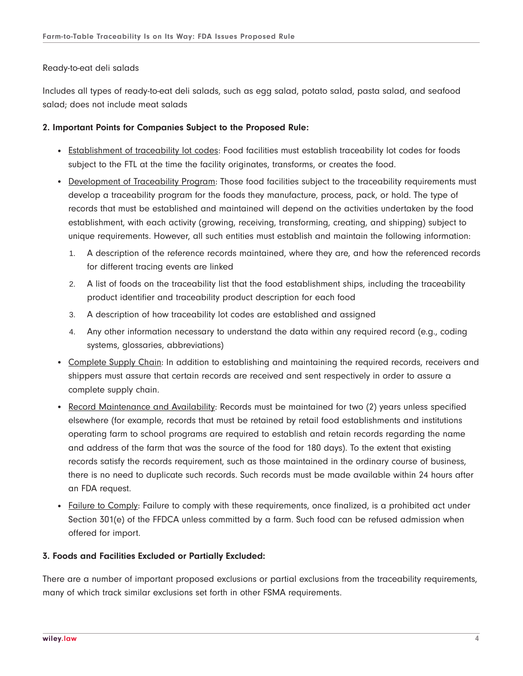#### Ready-to-eat deli salads

Includes all types of ready-to-eat deli salads, such as egg salad, potato salad, pasta salad, and seafood salad; does not include meat salads

#### **2. Important Points for Companies Subject to the Proposed Rule:**

- Establishment of traceability lot codes: Food facilities must establish traceability lot codes for foods subject to the FTL at the time the facility originates, transforms, or creates the food.
- Development of Traceability Program: Those food facilities subject to the traceability requirements must develop a traceability program for the foods they manufacture, process, pack, or hold. The type of records that must be established and maintained will depend on the activities undertaken by the food establishment, with each activity (growing, receiving, transforming, creating, and shipping) subject to unique requirements. However, all such entities must establish and maintain the following information:
	- 1. A description of the reference records maintained, where they are, and how the referenced records for different tracing events are linked
	- 2. A list of foods on the traceability list that the food establishment ships, including the traceability product identifier and traceability product description for each food
	- 3. A description of how traceability lot codes are established and assigned
	- 4. Any other information necessary to understand the data within any required record (e.g., coding systems, glossaries, abbreviations)
- Complete Supply Chain: In addition to establishing and maintaining the required records, receivers and shippers must assure that certain records are received and sent respectively in order to assure a complete supply chain.
- Record Maintenance and Availability: Records must be maintained for two (2) years unless specified elsewhere (for example, records that must be retained by retail food establishments and institutions operating farm to school programs are required to establish and retain records regarding the name and address of the farm that was the source of the food for 180 days). To the extent that existing records satisfy the records requirement, such as those maintained in the ordinary course of business, there is no need to duplicate such records. Such records must be made available within 24 hours after an FDA request.
- Failure to Comply: Failure to comply with these requirements, once finalized, is a prohibited act under Section 301(e) of the FFDCA unless committed by a farm. Such food can be refused admission when offered for import.

#### **3. Foods and Facilities Excluded or Partially Excluded:**

There are a number of important proposed exclusions or partial exclusions from the traceability requirements, many of which track similar exclusions set forth in other FSMA requirements.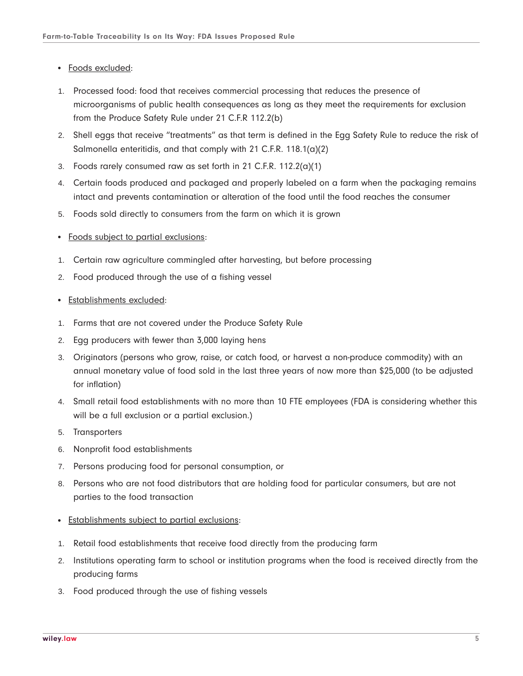- Foods excluded:
- 1. Processed food: food that receives commercial processing that reduces the presence of microorganisms of public health consequences as long as they meet the requirements for exclusion from the Produce Safety Rule under 21 C.F.R 112.2(b)
- 2. Shell eggs that receive "treatments" as that term is defined in the Egg Safety Rule to reduce the risk of Salmonella enteritidis, and that comply with 21 C.F.R. 118.1(a)(2)
- 3. Foods rarely consumed raw as set forth in 21 C.F.R. 112.2(a)(1)
- 4. Certain foods produced and packaged and properly labeled on a farm when the packaging remains intact and prevents contamination or alteration of the food until the food reaches the consumer
- 5. Foods sold directly to consumers from the farm on which it is grown
- Foods subject to partial exclusions:
- 1. Certain raw agriculture commingled after harvesting, but before processing
- 2. Food produced through the use of a fishing vessel
- **Establishments excluded:**
- 1. Farms that are not covered under the Produce Safety Rule
- 2. Egg producers with fewer than 3,000 laying hens
- 3. Originators (persons who grow, raise, or catch food, or harvest a non-produce commodity) with an annual monetary value of food sold in the last three years of now more than \$25,000 (to be adjusted for inflation)
- 4. Small retail food establishments with no more than 10 FTE employees (FDA is considering whether this will be a full exclusion or a partial exclusion.)
- 5. Transporters
- 6. Nonprofit food establishments
- 7. Persons producing food for personal consumption, or
- 8. Persons who are not food distributors that are holding food for particular consumers, but are not parties to the food transaction
- Establishments subject to partial exclusions:
- 1. Retail food establishments that receive food directly from the producing farm
- 2. Institutions operating farm to school or institution programs when the food is received directly from the producing farms
- 3. Food produced through the use of fishing vessels